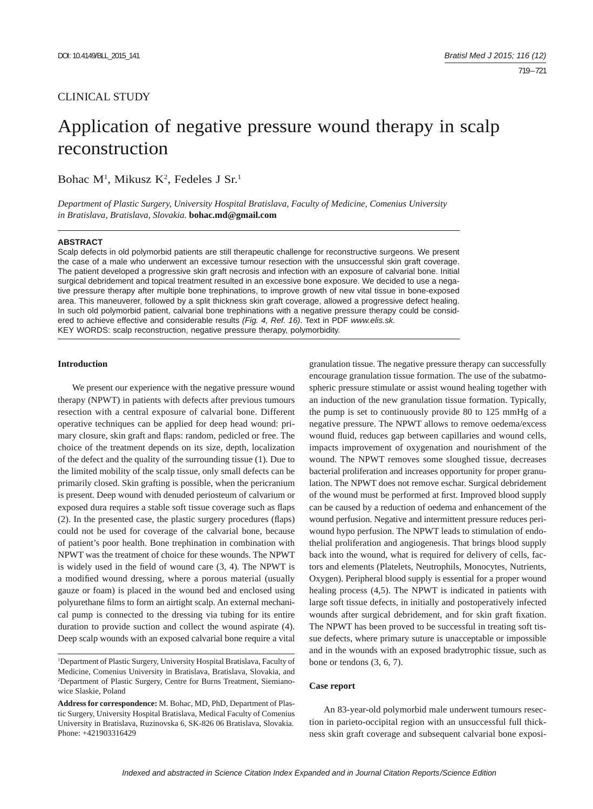# Application of negative pressure wound therapy in scalp reconstruction

Bohac M<sup>1</sup>, Mikusz K<sup>2</sup>, Fedeles J Sr.<sup>1</sup>

*Department of Plastic Surgery, University Hospital Bratislava, Faculty of Medicine, Comenius University in Bratislava, Bratislava, Slovakia.* **bohac.md@gmail.com**

#### **ABSTRACT**

Scalp defects in old polymorbid patients are still therapeutic challenge for reconstructive surgeons. We present the case of a male who underwent an excessive tumour resection with the unsuccessful skin graft coverage. The patient developed a progressive skin graft necrosis and infection with an exposure of calvarial bone. Initial surgical debridement and topical treatment resulted in an excessive bone exposure. We decided to use a negative pressure therapy after multiple bone trephinations, to improve growth of new vital tissue in bone-exposed area. This maneuverer, followed by a split thickness skin graft coverage, allowed a progressive defect healing. In such old polymorbid patient, calvarial bone trephinations with a negative pressure therapy could be considered to achieve effective and considerable results *(Fig. 4, Ref. 16)*. Text in PDF *www.elis.sk.* KEY WORDS: scalp reconstruction, negative pressure therapy, polymorbidity.

### **Introduction**

We present our experience with the negative pressure wound therapy (NPWT) in patients with defects after previous tumours resection with a central exposure of calvarial bone. Different operative techniques can be applied for deep head wound: primary closure, skin graft and flaps: random, pedicled or free. The choice of the treatment depends on its size, depth, localization of the defect and the quality of the surrounding tissue (1). Due to the limited mobility of the scalp tissue, only small defects can be primarily closed. Skin grafting is possible, when the pericranium is present. Deep wound with denuded periosteum of calvarium or exposed dura requires a stable soft tissue coverage such as flaps  $(2)$ . In the presented case, the plastic surgery procedures (flaps) could not be used for coverage of the calvarial bone, because of patient's poor health. Bone trephination in combination with NPWT was the treatment of choice for these wounds. The NPWT is widely used in the field of wound care  $(3, 4)$ . The NPWT is a modified wound dressing, where a porous material (usually gauze or foam) is placed in the wound bed and enclosed using polyurethane films to form an airtight scalp. An external mechanical pump is connected to the dressing via tubing for its entire duration to provide suction and collect the wound aspirate (4). Deep scalp wounds with an exposed calvarial bone require a vital granulation tissue. The negative pressure therapy can successfully encourage granulation tissue formation. The use of the subatmospheric pressure stimulate or assist wound healing together with an induction of the new granulation tissue formation. Typically, the pump is set to continuously provide 80 to 125 mmHg of a negative pressure. The NPWT allows to remove oedema/excess wound fluid, reduces gap between capillaries and wound cells, impacts improvement of oxygenation and nourishment of the wound. The NPWT removes some sloughed tissue, decreases bacterial proliferation and increases opportunity for proper granulation. The NPWT does not remove eschar. Surgical debridement of the wound must be performed at first. Improved blood supply can be caused by a reduction of oedema and enhancement of the wound perfusion. Negative and intermittent pressure reduces periwound hypo perfusion. The NPWT leads to stimulation of endothelial proliferation and angiogenesis. That brings blood supply back into the wound, what is required for delivery of cells, factors and elements (Platelets, Neutrophils, Monocytes, Nutrients, Oxygen). Peripheral blood supply is essential for a proper wound healing process (4,5). The NPWT is indicated in patients with large soft tissue defects, in initially and postoperatively infected wounds after surgical debridement, and for skin graft fixation. The NPWT has been proved to be successful in treating soft tissue defects, where primary suture is unacceptable or impossible and in the wounds with an exposed bradytrophic tissue, such as bone or tendons (3, 6, 7).

#### **Case report**

An 83-year-old polymorbid male underwent tumours resection in parieto-occipital region with an unsuccessful full thickness skin graft coverage and subsequent calvarial bone exposi-

<sup>&</sup>lt;sup>1</sup>Department of Plastic Surgery, University Hospital Bratislava, Faculty of Medicine, Comenius University in Bratislava, Bratislava, Slovakia, and 2 Department of Plastic Surgery, Centre for Burns Treatment, Siemianowice Slaskie, Poland

**Address for correspondence:** M. Bohac, MD, PhD, Department of Plastic Surgery, University Hospital Bratislava, Medical Faculty of Comenius University in Bratislava, Ruzinovska 6, SK-826 06 Bratislava, Slovakia. Phone: +421903316429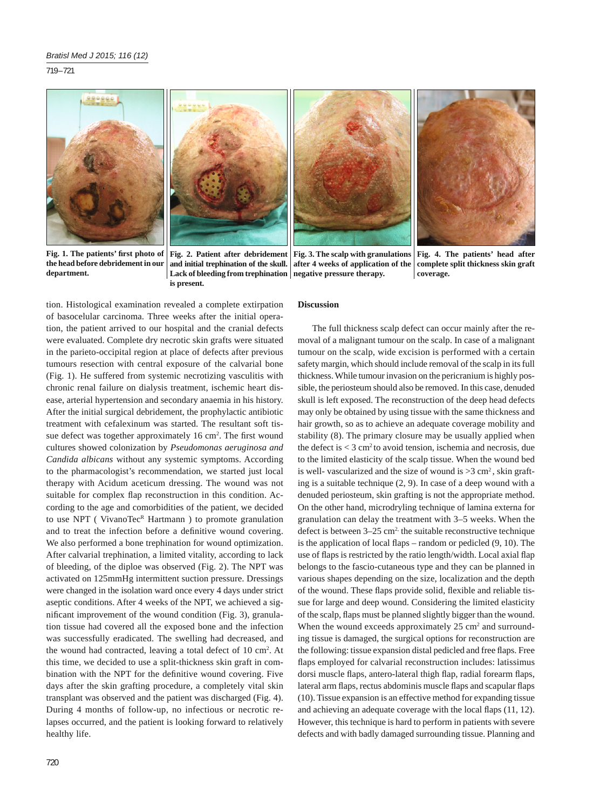719 – 721





**Fig. 1. The patients' fi rst photo of the head before debridement in our department.**

**Fig. 2. Patient after debridement and initial trephination of the skull. Lack of bleeding from trephination negative pressure therapy. is present.**

**Fig. 3. The scalp with granulations after 4 weeks of application of the** 

**Fig. 4. The patients' head after complete split thickness skin graft coverage.**

tion. Histological examination revealed a complete extirpation of basocelular carcinoma. Three weeks after the initial operation, the patient arrived to our hospital and the cranial defects were evaluated. Complete dry necrotic skin grafts were situated in the parieto-occipital region at place of defects after previous tumours resection with central exposure of the calvarial bone (Fig. 1). He suffered from systemic necrotizing vasculitis with chronic renal failure on dialysis treatment, ischemic heart disease, arterial hypertension and secondary anaemia in his history. After the initial surgical debridement, the prophylactic antibiotic treatment with cefalexinum was started. The resultant soft tissue defect was together approximately 16 cm<sup>2</sup>. The first wound cultures showed colonization by *Pseudomonas aeruginosa and Candida albicans* without any systemic symptoms. According to the pharmacologist's recommendation, we started just local therapy with Acidum aceticum dressing. The wound was not suitable for complex flap reconstruction in this condition. According to the age and comorbidities of the patient, we decided to use NPT (VivanoTec<sup>R</sup> Hartmann) to promote granulation and to treat the infection before a definitive wound covering. We also performed a bone trephination for wound optimization. After calvarial trephination, a limited vitality, according to lack of bleeding, of the diploe was observed (Fig. 2). The NPT was activated on 125mmHg intermittent suction pressure. Dressings were changed in the isolation ward once every 4 days under strict aseptic conditions. After 4 weeks of the NPT, we achieved a significant improvement of the wound condition (Fig. 3), granulation tissue had covered all the exposed bone and the infection was successfully eradicated. The swelling had decreased, and the wound had contracted, leaving a total defect of 10 cm2 . At this time, we decided to use a split-thickness skin graft in combination with the NPT for the definitive wound covering. Five days after the skin grafting procedure, a completely vital skin transplant was observed and the patient was discharged (Fig. 4). During 4 months of follow-up, no infectious or necrotic relapses occurred, and the patient is looking forward to relatively healthy life.

## **Discussion**

The full thickness scalp defect can occur mainly after the removal of a malignant tumour on the scalp. In case of a malignant tumour on the scalp, wide excision is performed with a certain safety margin, which should include removal of the scalp in its full thickness. While tumour invasion on the pericranium is highly possible, the periosteum should also be removed. In this case, denuded skull is left exposed. The reconstruction of the deep head defects may only be obtained by using tissue with the same thickness and hair growth, so as to achieve an adequate coverage mobility and stability (8). The primary closure may be usually applied when the defect is  $<$  3 cm<sup>2</sup> to avoid tension, ischemia and necrosis, due to the limited elasticity of the scalp tissue. When the wound bed is well- vascularized and the size of wound is  $>3$  cm<sup>2</sup>, skin grafting is a suitable technique (2, 9). In case of a deep wound with a denuded periosteum, skin grafting is not the appropriate method. On the other hand, microdryling technique of lamina externa for granulation can delay the treatment with 3–5 weeks. When the defect is between  $3-25$  cm<sup>2,</sup> the suitable reconstructive technique is the application of local flaps – random or pedicled  $(9, 10)$ . The use of flaps is restricted by the ratio length/width. Local axial flap belongs to the fascio-cutaneous type and they can be planned in various shapes depending on the size, localization and the depth of the wound. These flaps provide solid, flexible and reliable tissue for large and deep wound. Considering the limited elasticity of the scalp, flaps must be planned slightly bigger than the wound. When the wound exceeds approximately  $25 \text{ cm}^2$  and surrounding tissue is damaged, the surgical options for reconstruction are the following: tissue expansion distal pedicled and free flaps. Free flaps employed for calvarial reconstruction includes: latissimus dorsi muscle flaps, antero-lateral thigh flap, radial forearm flaps, lateral arm flaps, rectus abdominis muscle flaps and scapular flaps (10). Tissue expansion is an effective method for expanding tissue and achieving an adequate coverage with the local flaps (11, 12). However, this technique is hard to perform in patients with severe defects and with badly damaged surrounding tissue. Planning and